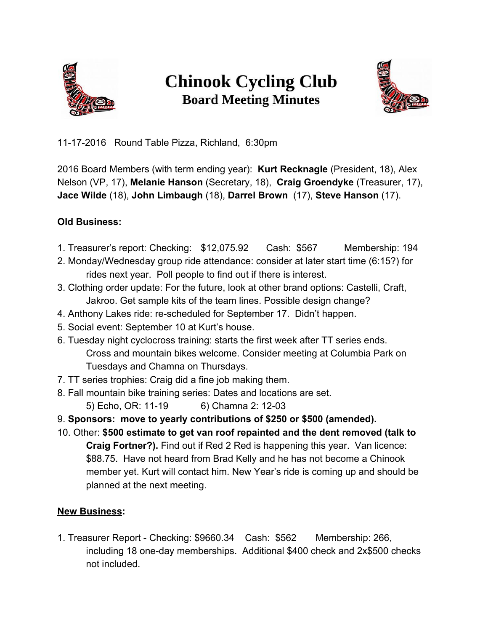

# **Chinook Cycling Club Board Meeting Minutes**



11-17-2016 Round Table Pizza, Richland, 6:30pm

2016 Board Members (with term ending year): **Kurt Recknagle** (President, 18), Alex Nelson (VP, 17), **Melanie Hanson** (Secretary, 18), **Craig Groendyke** (Treasurer, 17), **Jace Wilde** (18), **John Limbaugh** (18), **Darrel Brown** (17), **Steve Hanson** (17).

### **Old Business:**

- 1. Treasurer's report: Checking: \$12,075.92 Cash: \$567 Membership: 194
- 2. Monday/Wednesday group ride attendance: consider at later start time (6:15?) for rides next year. Poll people to find out if there is interest.
- 3. Clothing order update: For the future, look at other brand options: Castelli, Craft, Jakroo. Get sample kits of the team lines. Possible design change?
- 4. Anthony Lakes ride: re-scheduled for September 17. Didn't happen.
- 5. Social event: September 10 at Kurt's house.
- 6. Tuesday night cyclocross training: starts the first week after TT series ends. Cross and mountain bikes welcome. Consider meeting at Columbia Park on Tuesdays and Chamna on Thursdays.
- 7. TT series trophies: Craig did a fine job making them.
- 8. Fall mountain bike training series: Dates and locations are set.
	- 5) Echo, OR: 11-19 6) Chamna 2: 12-03
- 9. **Sponsors: move to yearly contributions of \$250 or \$500 (amended).**
- 10. Other: **\$500 estimate to get van roof repainted and the dent removed (talk to Craig Fortner?).** Find out if Red 2 Red is happening this year. Van licence: \$88.75. Have not heard from Brad Kelly and he has not become a Chinook member yet. Kurt will contact him. New Year's ride is coming up and should be planned at the next meeting.

## **New Business:**

1. Treasurer Report - Checking: \$9660.34 Cash: \$562 Membership: 266, including 18 one-day memberships. Additional \$400 check and 2x\$500 checks not included.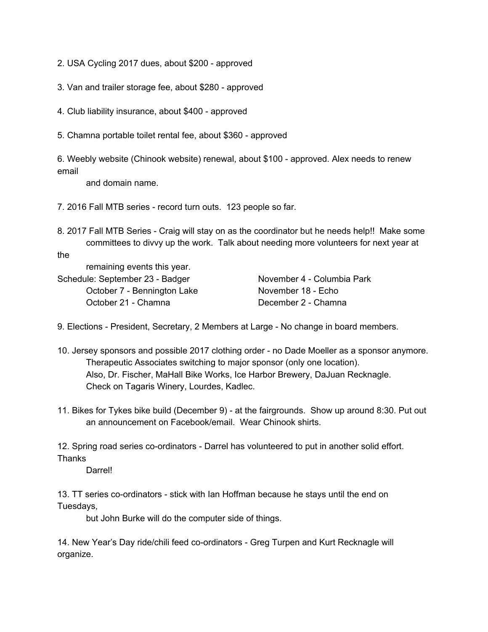- 2. USA Cycling 2017 dues, about \$200 approved
- 3. Van and trailer storage fee, about \$280 approved
- 4. Club liability insurance, about \$400 approved
- 5. Chamna portable toilet rental fee, about \$360 approved

6. Weebly website (Chinook website) renewal, about \$100 - approved. Alex needs to renew email

and domain name.

7. 2016 Fall MTB series - record turn outs. 123 people so far.

8. 2017 Fall MTB Series - Craig will stay on as the coordinator but he needs help!! Make some committees to divvy up the work. Talk about needing more volunteers for next year at

the

Schedule: September 23 - Badger November 4 - Columbia Park October 7 - Bennington Lake November 18 - Echo October 21 - Chamna December 2 - Chamna

9. Elections - President, Secretary, 2 Members at Large - No change in board members.

- 10. Jersey sponsors and possible 2017 clothing order no Dade Moeller as a sponsor anymore. Therapeutic Associates switching to major sponsor (only one location). Also, Dr. Fischer, MaHall Bike Works, Ice Harbor Brewery, DaJuan Recknagle. Check on Tagaris Winery, Lourdes, Kadlec.
- 11. Bikes for Tykes bike build (December 9) at the fairgrounds. Show up around 8:30. Put out an announcement on Facebook/email. Wear Chinook shirts.

12. Spring road series co-ordinators - Darrel has volunteered to put in another solid effort. **Thanks** 

Darrel!

13. TT series co-ordinators - stick with Ian Hoffman because he stays until the end on Tuesdays,

but John Burke will do the computer side of things.

14. New Year's Day ride/chili feed co-ordinators - Greg Turpen and Kurt Recknagle will organize.